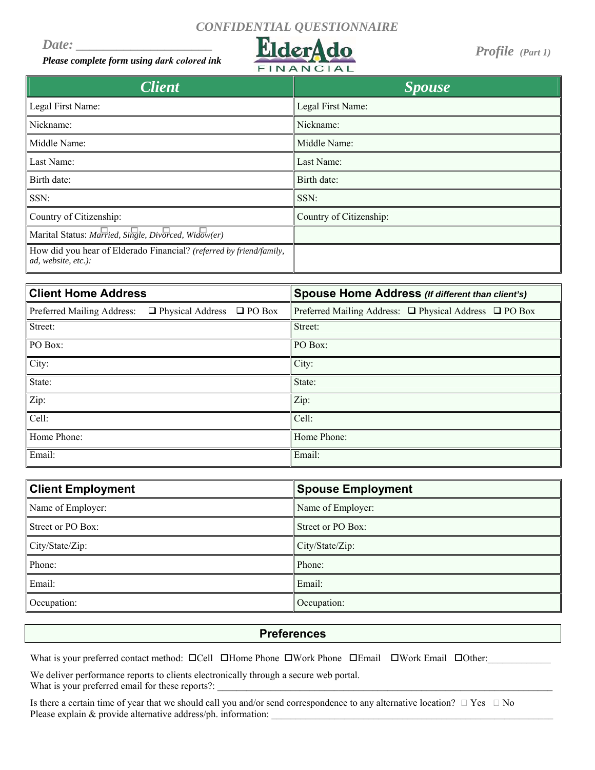## *CONFIDENTIAL QUESTIONNAIRE*

*Date: \_\_\_\_\_\_\_\_\_\_\_\_\_\_\_\_\_\_\_\_* 

*Please complete form using dark colored ink* 



*Profile (Part 1)*

| <b>Client</b>                                                                              | <b>Spouse</b>           |
|--------------------------------------------------------------------------------------------|-------------------------|
| Legal First Name:                                                                          | Legal First Name:       |
| Nickname:                                                                                  | Nickname:               |
| Middle Name:                                                                               | Middle Name:            |
| Last Name:                                                                                 | Last Name:              |
| Birth date:                                                                                | Birth date:             |
| SSN:                                                                                       | SSN:                    |
| Country of Citizenship:                                                                    | Country of Citizenship: |
| Marital Status: Married, Single, Divorced, Widow(er)                                       |                         |
| How did you hear of Elderado Financial? (referred by friend/family,<br>ad, website, etc.): |                         |

| <b>Client Home Address</b>                             | Spouse Home Address (If different than client's)       |  |  |
|--------------------------------------------------------|--------------------------------------------------------|--|--|
| Preferred Mailing Address: □ Physical Address □ PO Box | Preferred Mailing Address: □ Physical Address □ PO Box |  |  |
| Street:                                                | Street:                                                |  |  |
| PO Box:                                                | PO Box:                                                |  |  |
| City:                                                  | City:                                                  |  |  |
| State:                                                 | State:                                                 |  |  |
| Zip:                                                   | Zip:                                                   |  |  |
| Cell:                                                  | Cell:                                                  |  |  |
| Home Phone:                                            | Home Phone:                                            |  |  |
| Email:                                                 | Email:                                                 |  |  |

| <b>Client Employment</b> | <b>Spouse Employment</b> |
|--------------------------|--------------------------|
| Name of Employer:        | Name of Employer:        |
| Street or PO Box:        | Street or PO Box:        |
| City/State/Zip:          | City/State/Zip:          |
| Phone:                   | Phone:                   |
| Email:                   | Email:                   |
| Occupation:              | Occupation:              |

### **Preferences**

What is your preferred contact method:  $\Box$ Cell  $\Box$ Home Phone  $\Box$ Work Phone  $\Box$ Email  $\Box$ Work Email  $\Box$ Other:

We deliver performance reports to clients electronically through a secure web portal. What is your preferred email for these reports?:

Is there a certain time of year that we should call you and/or send correspondence to any alternative location?  $\Box$  Yes  $\Box$  No Please explain & provide alternative address/ph. information: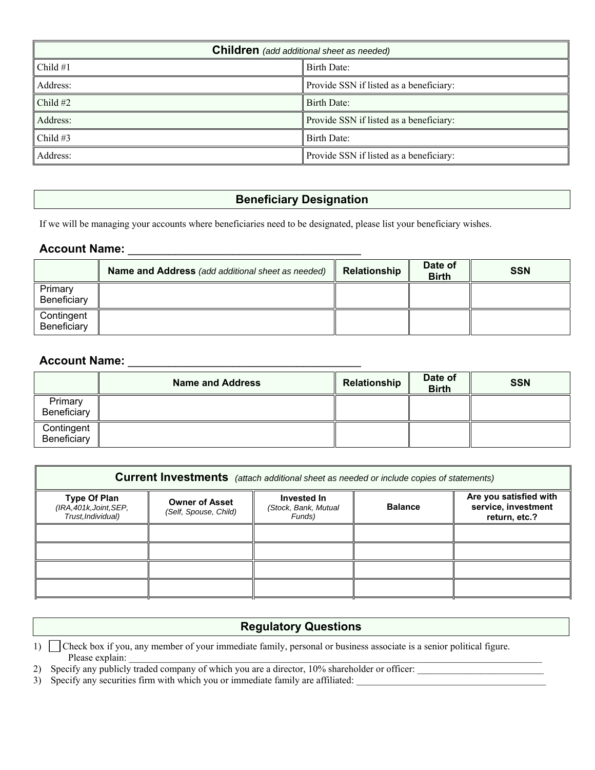| <b>Children</b> (add additional sheet as needed) |                                         |  |
|--------------------------------------------------|-----------------------------------------|--|
| Child #1                                         | Birth Date:                             |  |
| Address:                                         | Provide SSN if listed as a beneficiary: |  |
| Child #2                                         | Birth Date:                             |  |
| Address:                                         | Provide SSN if listed as a beneficiary: |  |
| Child#3                                          | Birth Date:                             |  |
| Address:                                         | Provide SSN if listed as a beneficiary: |  |

## **Beneficiary Designation**

If we will be managing your accounts where beneficiaries need to be designated, please list your beneficiary wishes.

## Account Name:  $\qquad \qquad$

|                           | <b>Name and Address</b> (add additional sheet as needed) | Relationship | Date of<br><b>Birth</b> | <b>SSN</b> |
|---------------------------|----------------------------------------------------------|--------------|-------------------------|------------|
| Primary<br>Beneficiary    |                                                          |              |                         |            |
| Contingent<br>Beneficiary |                                                          |              |                         |            |

### Account Name:

|                           | <b>Name and Address</b> | Relationship | Date of<br><b>Birth</b> | <b>SSN</b> |
|---------------------------|-------------------------|--------------|-------------------------|------------|
| Primary<br>Beneficiary    |                         |              |                         |            |
| Contingent<br>Beneficiary |                         |              |                         |            |

| <b>Current Investments</b> (attach additional sheet as needed or include copies of statements) |                                                |                                               |                |                                                                |  |
|------------------------------------------------------------------------------------------------|------------------------------------------------|-----------------------------------------------|----------------|----------------------------------------------------------------|--|
| <b>Type Of Plan</b><br>(IRA, 401k, Joint, SEP,<br>Trust, Individual)                           | <b>Owner of Asset</b><br>(Self, Spouse, Child) | Invested In<br>(Stock, Bank, Mutual<br>Funds) | <b>Balance</b> | Are you satisfied with<br>service, investment<br>return, etc.? |  |
|                                                                                                |                                                |                                               |                |                                                                |  |
|                                                                                                |                                                |                                               |                |                                                                |  |
|                                                                                                |                                                |                                               |                |                                                                |  |
|                                                                                                |                                                |                                               |                |                                                                |  |

# **Regulatory Questions** 1) Check box if you, any member of your immediate family, personal or business associate is a senior political figure. Please explain: \_\_\_\_\_\_\_\_\_\_\_\_\_\_\_\_\_\_\_\_\_\_\_\_\_\_\_\_\_\_\_\_\_\_\_\_\_\_\_\_\_\_\_\_\_\_\_\_\_\_\_\_\_\_\_\_\_\_\_\_\_\_\_\_\_\_\_\_\_\_\_\_\_\_\_\_\_\_\_\_\_\_\_\_\_

2) Specify any publicly traded company of which you are a director,  $10\%$  shareholder or officer:

3) Specify any securities firm with which you or immediate family are affiliated: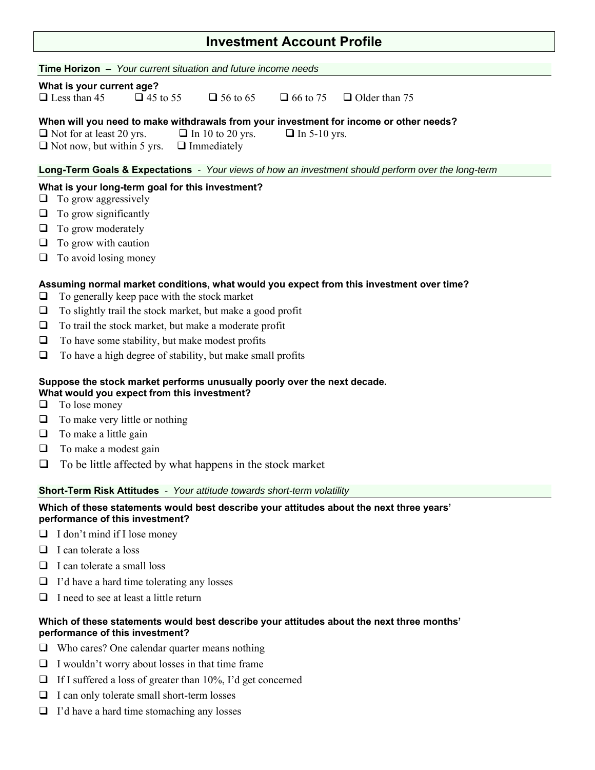# **Investment Account Profile**

| <b>Time Horizon -</b> Your current situation and future income needs |  |  |                     |                                                                                        |  |  |
|----------------------------------------------------------------------|--|--|---------------------|----------------------------------------------------------------------------------------|--|--|
| What is your current age?                                            |  |  |                     |                                                                                        |  |  |
| $\Box$ Less than 45 $\Box$ 45 to 55                                  |  |  |                     | $\Box$ 56 to 65 $\Box$ 66 to 75 $\Box$ Older than 75                                   |  |  |
|                                                                      |  |  |                     |                                                                                        |  |  |
|                                                                      |  |  |                     | When will you need to make withdrawals from your investment for income or other needs? |  |  |
| $\Box$ Not for at least 20 yrs. $\Box$ In 10 to 20 yrs.              |  |  | $\Box$ In 5-10 yrs. |                                                                                        |  |  |
| $\Box$ Not now, but within 5 yrs. $\Box$ Immediately                 |  |  |                     |                                                                                        |  |  |

**Long-Term Goals & Expectations** *- Your views of how an investment should perform over the long-term* 

#### **What is your long-term goal for this investment?**

- $\Box$  To grow aggressively
- $\Box$  To grow significantly
- $\Box$  To grow moderately
- $\Box$  To grow with caution
- $\Box$  To avoid losing money

#### **Assuming normal market conditions, what would you expect from this investment over time?**

- $\Box$  To generally keep pace with the stock market
- $\Box$  To slightly trail the stock market, but make a good profit
- $\Box$  To trail the stock market, but make a moderate profit
- $\Box$  To have some stability, but make modest profits
- $\Box$  To have a high degree of stability, but make small profits

#### **Suppose the stock market performs unusually poorly over the next decade. What would you expect from this investment?**

- $\Box$  To lose money
- $\Box$  To make very little or nothing
- $\Box$  To make a little gain
- **T** To make a modest gain
- $\Box$  To be little affected by what happens in the stock market

#### **Short-Term Risk Attitudes** *- Your attitude towards short-term volatility*

#### **Which of these statements would best describe your attitudes about the next three years' performance of this investment?**

- $\Box$  I don't mind if I lose money
- $\Box$  I can tolerate a loss
- $\Box$  I can tolerate a small loss
- $\Box$  I'd have a hard time tolerating any losses
- $\Box$  I need to see at least a little return

#### **Which of these statements would best describe your attitudes about the next three months' performance of this investment?**

- $\Box$  Who cares? One calendar quarter means nothing
- $\Box$  I wouldn't worry about losses in that time frame
- $\Box$  If I suffered a loss of greater than 10%, I'd get concerned
- $\Box$  I can only tolerate small short-term losses
- $\Box$  I'd have a hard time stomaching any losses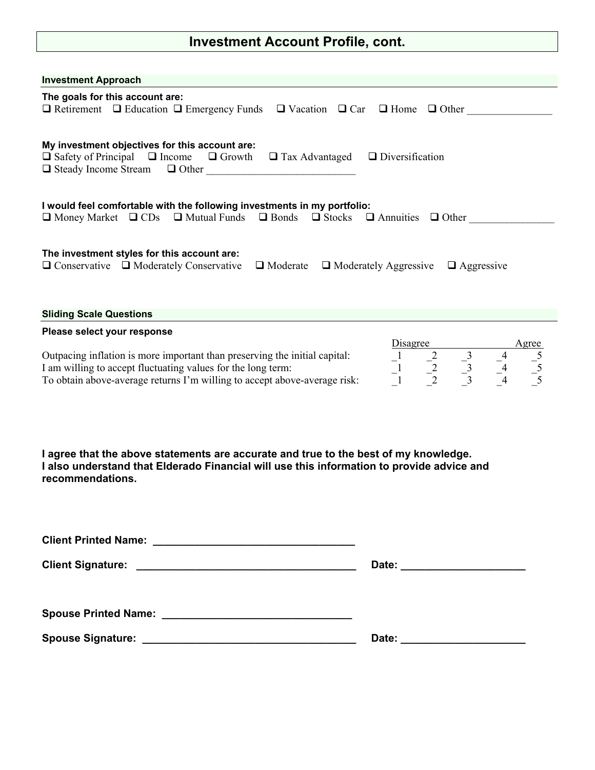# **Investment Account Profile, cont.**

| <b>Investment Approach</b>                                                                                                                                                                                                                                                                                                               |  |  |  |  |  |
|------------------------------------------------------------------------------------------------------------------------------------------------------------------------------------------------------------------------------------------------------------------------------------------------------------------------------------------|--|--|--|--|--|
| The goals for this account are:<br>$\Box$ Retirement $\Box$ Education $\Box$ Emergency Funds $\Box$ Vacation $\Box$ Car $\Box$ Home $\Box$ Other                                                                                                                                                                                         |  |  |  |  |  |
| My investment objectives for this account are:<br>$\Box$ Safety of Principal $\Box$ Income $\Box$ Growth $\Box$ Tax Advantaged $\Box$ Diversification<br>$\Box$ Steady Income Stream $\Box$ Other                                                                                                                                        |  |  |  |  |  |
| I would feel comfortable with the following investments in my portfolio:<br>$\Box$ Money Market $\Box$ CDs $\Box$ Mutual Funds $\Box$ Bonds $\Box$ Stocks $\Box$ Annuities $\Box$ Other                                                                                                                                                  |  |  |  |  |  |
| The investment styles for this account are:<br>$\Box$ Conservative $\Box$ Moderately Conservative<br>$\Box$ Moderate $\Box$ Moderately Aggressive<br>$\Box$ Aggressive                                                                                                                                                                   |  |  |  |  |  |
| <b>Sliding Scale Questions</b>                                                                                                                                                                                                                                                                                                           |  |  |  |  |  |
| Please select your response<br>Disagree<br>Agree                                                                                                                                                                                                                                                                                         |  |  |  |  |  |
| $\frac{5}{-5}$<br>$\begin{array}{ccc} -1 & -2 & -3 & -4 \\ -1 & -2 & -3 & -4 \\ 1 & -2 & -3 & -4 \end{array}$<br>Outpacing inflation is more important than preserving the initial capital:<br>I am willing to accept fluctuating values for the long term:<br>To obtain above-average returns I'm willing to accept above-average risk: |  |  |  |  |  |

**I agree that the above statements are accurate and true to the best of my knowledge. I also understand that Elderado Financial will use this information to provide advice and recommendations.** 

| Date: ________________________ |
|--------------------------------|
|                                |
|                                |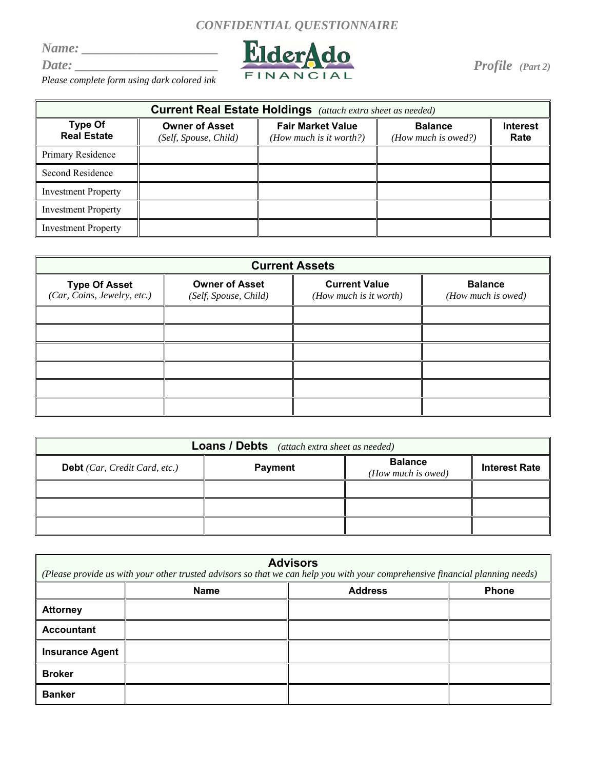# *CONFIDENTIAL QUESTIONNAIRE*

*Name: \_\_\_\_\_\_\_\_\_\_\_\_\_\_\_\_\_\_\_\_*

*Date: \_\_\_\_\_\_\_\_\_\_\_\_\_\_\_\_\_\_\_\_\_* 

*Please complete form using dark colored ink* 



| <b>Current Real Estate Holdings</b> (attach extra sheet as needed) |                                                |                                                     |                                       |                         |  |
|--------------------------------------------------------------------|------------------------------------------------|-----------------------------------------------------|---------------------------------------|-------------------------|--|
| <b>Type Of</b><br><b>Real Estate</b>                               | <b>Owner of Asset</b><br>(Self, Spouse, Child) | <b>Fair Market Value</b><br>(How much is it worth?) | <b>Balance</b><br>(How much is owed?) | <b>Interest</b><br>Rate |  |
| Primary Residence                                                  |                                                |                                                     |                                       |                         |  |
| Second Residence                                                   |                                                |                                                     |                                       |                         |  |
| <b>Investment Property</b>                                         |                                                |                                                     |                                       |                         |  |
| <b>Investment Property</b>                                         |                                                |                                                     |                                       |                         |  |
| <b>Investment Property</b>                                         |                                                |                                                     |                                       |                         |  |

| <b>Current Assets</b>                               |                                                |                                                |                                      |  |
|-----------------------------------------------------|------------------------------------------------|------------------------------------------------|--------------------------------------|--|
| <b>Type Of Asset</b><br>(Car, Coins, Jewelry, etc.) | <b>Owner of Asset</b><br>(Self, Spouse, Child) | <b>Current Value</b><br>(How much is it worth) | <b>Balance</b><br>(How much is owed) |  |
|                                                     |                                                |                                                |                                      |  |
|                                                     |                                                |                                                |                                      |  |
|                                                     |                                                |                                                |                                      |  |
|                                                     |                                                |                                                |                                      |  |
|                                                     |                                                |                                                |                                      |  |
|                                                     |                                                |                                                |                                      |  |

| <b>Loans / Debts</b> (attach extra sheet as needed) |                |                                      |                      |  |  |  |
|-----------------------------------------------------|----------------|--------------------------------------|----------------------|--|--|--|
| <b>Debt</b> (Car, Credit Card, etc.)                | <b>Payment</b> | <b>Balance</b><br>(How much is owed) | <b>Interest Rate</b> |  |  |  |
|                                                     |                |                                      |                      |  |  |  |
|                                                     |                |                                      |                      |  |  |  |
|                                                     |                |                                      |                      |  |  |  |

| <b>Advisors</b><br>(Please provide us with your other trusted advisors so that we can help you with your comprehensive financial planning needs) |             |                |              |  |  |  |
|--------------------------------------------------------------------------------------------------------------------------------------------------|-------------|----------------|--------------|--|--|--|
|                                                                                                                                                  | <b>Name</b> | <b>Address</b> | <b>Phone</b> |  |  |  |
| <b>Attorney</b>                                                                                                                                  |             |                |              |  |  |  |
| <b>Accountant</b>                                                                                                                                |             |                |              |  |  |  |
| <b>Insurance Agent</b>                                                                                                                           |             |                |              |  |  |  |
| <b>Broker</b>                                                                                                                                    |             |                |              |  |  |  |
| <b>Banker</b>                                                                                                                                    |             |                |              |  |  |  |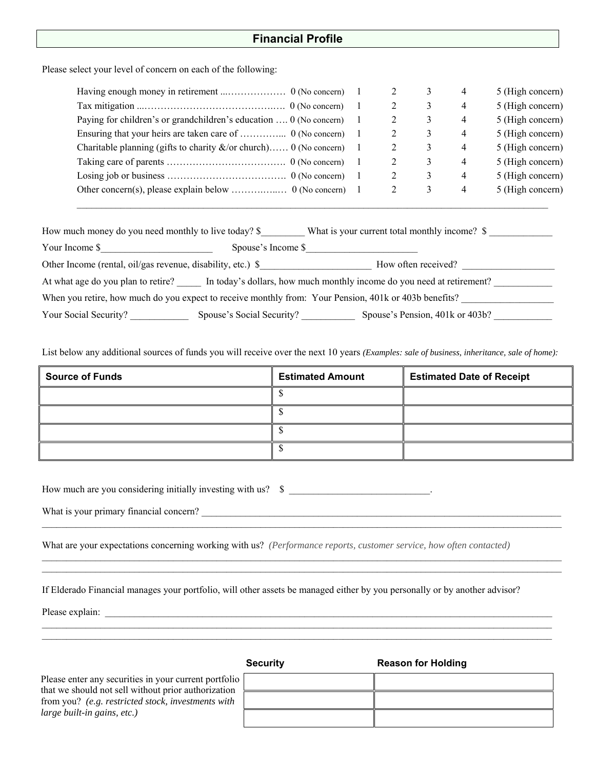## **Financial Profile**

Please select your level of concern on each of the following:

|                                                                       |  |   | 4 | 5 (High concern) |
|-----------------------------------------------------------------------|--|---|---|------------------|
|                                                                       |  |   | 4 | 5 (High concern) |
| Paying for children's or grandchildren's education  0 (No concern)    |  |   | 4 | 5 (High concern) |
|                                                                       |  |   | 4 | 5 (High concern) |
| Charitable planning (gifts to charity $\&$ /or church) 0 (No concern) |  | 3 | 4 | 5 (High concern) |
|                                                                       |  | 3 | 4 | 5 (High concern) |
|                                                                       |  | 3 | 4 | 5 (High concern) |
|                                                                       |  |   | 4 | 5 (High concern) |
|                                                                       |  |   |   |                  |

| How much money do you need monthly to live today? \$                                                         |                           | What is your current total monthly income? \$ |  |  |  |
|--------------------------------------------------------------------------------------------------------------|---------------------------|-----------------------------------------------|--|--|--|
| Your Income \$<br>Spouse's Income \$                                                                         |                           |                                               |  |  |  |
| Other Income (rental, oil/gas revenue, disability, etc.) \$<br>How often received?                           |                           |                                               |  |  |  |
| In today's dollars, how much monthly income do you need at retirement?<br>At what age do you plan to retire? |                           |                                               |  |  |  |
| When you retire, how much do you expect to receive monthly from: Your Pension, 401k or 403b benefits?        |                           |                                               |  |  |  |
| Your Social Security?                                                                                        | Spouse's Social Security? | Spouse's Pension, 401k or 403b?               |  |  |  |

List below any additional sources of funds you will receive over the next 10 years *(Examples: sale of business, inheritance, sale of home):* 

| <b>Source of Funds</b> | <b>Estimated Amount</b> | <b>Estimated Date of Receipt</b> |
|------------------------|-------------------------|----------------------------------|
|                        |                         |                                  |
|                        |                         |                                  |
|                        |                         |                                  |
|                        |                         |                                  |

 $\mathcal{L}_\mathcal{L} = \mathcal{L}_\mathcal{L} = \mathcal{L}_\mathcal{L} = \mathcal{L}_\mathcal{L} = \mathcal{L}_\mathcal{L} = \mathcal{L}_\mathcal{L} = \mathcal{L}_\mathcal{L} = \mathcal{L}_\mathcal{L} = \mathcal{L}_\mathcal{L} = \mathcal{L}_\mathcal{L} = \mathcal{L}_\mathcal{L} = \mathcal{L}_\mathcal{L} = \mathcal{L}_\mathcal{L} = \mathcal{L}_\mathcal{L} = \mathcal{L}_\mathcal{L} = \mathcal{L}_\mathcal{L} = \mathcal{L}_\mathcal{L}$ 

 $\mathcal{L}_\mathcal{L} = \mathcal{L}_\mathcal{L} = \mathcal{L}_\mathcal{L} = \mathcal{L}_\mathcal{L} = \mathcal{L}_\mathcal{L} = \mathcal{L}_\mathcal{L} = \mathcal{L}_\mathcal{L} = \mathcal{L}_\mathcal{L} = \mathcal{L}_\mathcal{L} = \mathcal{L}_\mathcal{L} = \mathcal{L}_\mathcal{L} = \mathcal{L}_\mathcal{L} = \mathcal{L}_\mathcal{L} = \mathcal{L}_\mathcal{L} = \mathcal{L}_\mathcal{L} = \mathcal{L}_\mathcal{L} = \mathcal{L}_\mathcal{L}$ 

How much are you considering initially investing with us?  $\$$ 

What is your primary financial concern? \_\_\_\_\_\_\_\_\_\_\_\_\_\_\_\_\_\_\_\_\_\_\_\_\_\_\_\_\_\_\_\_\_\_\_\_\_\_\_\_\_\_\_\_\_\_\_\_\_\_\_\_\_\_\_\_\_\_\_\_\_\_\_\_\_\_\_\_\_\_\_\_\_\_

What are your expectations concerning working with us? *(Performance reports, customer service, how often contacted)*

If Elderado Financial manages your portfolio, will other assets be managed either by you personally or by another advisor?

Please explain: \_\_\_\_\_\_\_\_\_\_\_\_\_\_\_\_\_\_\_\_\_\_\_\_\_\_\_\_\_\_\_\_\_\_\_\_\_\_\_\_\_\_\_\_\_\_\_\_\_\_\_\_\_\_\_\_\_\_\_\_\_\_\_\_\_\_\_\_\_\_\_\_\_\_\_\_\_\_\_\_\_\_\_\_\_\_\_\_\_\_\_\_

|                                                                                                              | <b>Security</b> | <b>Reason for Holding</b> |
|--------------------------------------------------------------------------------------------------------------|-----------------|---------------------------|
| Please enter any securities in your current portfolio<br>that we should not sell without prior authorization |                 |                           |
| from you? (e.g. restricted stock, investments with                                                           |                 |                           |
| large built-in gains, etc.)                                                                                  |                 |                           |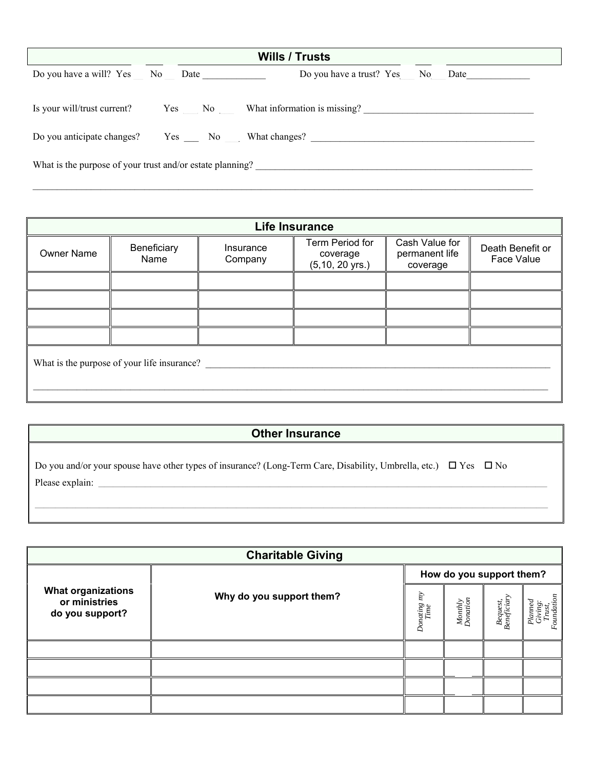|                                                                     |  | <b>Wills / Trusts</b>                                     |  |
|---------------------------------------------------------------------|--|-----------------------------------------------------------|--|
| Do you have a will? Yes No Date<br>Do you have a trust? Yes No Date |  |                                                           |  |
| Is your will/trust current?                                         |  | Yes No What information is missing?                       |  |
|                                                                     |  | Do you anticipate changes? Yes No What changes?           |  |
|                                                                     |  | What is the purpose of your trust and/or estate planning? |  |

| Life Insurance                              |                      |                                                   |                                              |                                |  |  |
|---------------------------------------------|----------------------|---------------------------------------------------|----------------------------------------------|--------------------------------|--|--|
| Beneficiary<br>Name                         | Insurance<br>Company | Term Period for<br>coverage<br>$(5, 10, 20$ yrs.) | Cash Value for<br>permanent life<br>coverage | Death Benefit or<br>Face Value |  |  |
|                                             |                      |                                                   |                                              |                                |  |  |
|                                             |                      |                                                   |                                              |                                |  |  |
|                                             |                      |                                                   |                                              |                                |  |  |
|                                             |                      |                                                   |                                              |                                |  |  |
| What is the purpose of your life insurance? |                      |                                                   |                                              |                                |  |  |
|                                             |                      |                                                   |                                              |                                |  |  |

| <b>Other Insurance</b> |
|------------------------|
|------------------------|

 $\mathcal{L}_\mathcal{L} = \mathcal{L}_\mathcal{L} = \mathcal{L}_\mathcal{L} = \mathcal{L}_\mathcal{L} = \mathcal{L}_\mathcal{L} = \mathcal{L}_\mathcal{L} = \mathcal{L}_\mathcal{L} = \mathcal{L}_\mathcal{L} = \mathcal{L}_\mathcal{L} = \mathcal{L}_\mathcal{L} = \mathcal{L}_\mathcal{L} = \mathcal{L}_\mathcal{L} = \mathcal{L}_\mathcal{L} = \mathcal{L}_\mathcal{L} = \mathcal{L}_\mathcal{L} = \mathcal{L}_\mathcal{L} = \mathcal{L}_\mathcal{L}$ 

Do you and/or your spouse have other types of insurance? (Long-Term Care, Disability, Umbrella, etc.) □ Yes □ No Please explain:

| <b>Charitable Giving</b>                                      |                          |                                                                        |                     |                         |                               |  |  |
|---------------------------------------------------------------|--------------------------|------------------------------------------------------------------------|---------------------|-------------------------|-------------------------------|--|--|
|                                                               | Why do you support them? | How do you support them?                                               |                     |                         |                               |  |  |
| <b>What organizations</b><br>or ministries<br>do you support? |                          | Йu<br>$\begin{array}{c} \textit{Donding} \\ \textit{Time} \end{array}$ | Monthly<br>Donation | Bequest,<br>Beneficiary | Foundation<br>Planned<br>rust |  |  |
|                                                               |                          |                                                                        |                     |                         |                               |  |  |
|                                                               |                          |                                                                        |                     |                         |                               |  |  |
|                                                               |                          |                                                                        |                     |                         |                               |  |  |
|                                                               |                          |                                                                        |                     |                         |                               |  |  |